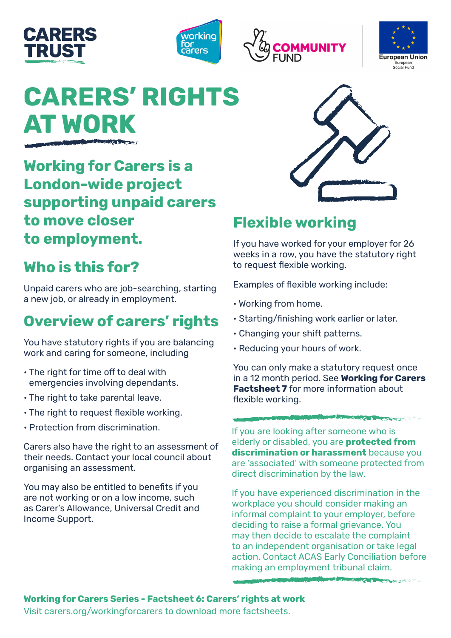







# **CARERS' RIGHTS AT WORK**

**Working for Carers is a London-wide project supporting unpaid carers to move closer to employment.** 

# **Who is this for?**

Unpaid carers who are job-searching, starting a new job, or already in employment.

# **Overview of carers' rights**

You have statutory rights if you are balancing work and caring for someone, including

- The right for time off to deal with emergencies involving dependants.
- The right to take parental leave.
- The right to request flexible working.
- Protection from discrimination.

Carers also have the right to an assessment of their needs. Contact your local council about organising an assessment.

You may also be entitled to benefits if you are not working or on a low income, such as Carer's Allowance, Universal Credit and Income Support.



## **Flexible working**

If you have worked for your employer for 26 weeks in a row, you have the statutory right to request flexible working.

Examples of flexible working include:

- Working from home.
- Starting/finishing work earlier or later.
- Changing your shift patterns.
- Reducing your hours of work.

You can only make a statutory request once in a 12 month period. See **Working for Carers Factsheet 7** for more information about flexible working.

**STATISTICS** 

If you are looking after someone who is elderly or disabled, you are **protected from discrimination or harassment** because you are 'associated' with someone protected from direct discrimination by the law.

If you have experienced discrimination in the workplace you should consider making an informal complaint to your employer, before deciding to raise a formal grievance. You may then decide to escalate the complaint to an independent organisation or take legal action. Contact ACAS Early Conciliation before making an employment tribunal claim.

**COMPANY AND RESIDENCE OF A REAL PROPERTY AND INCOME.** 

**Working for Carers Series - Factsheet 6: Carers' rights at work** Visit carers.org/workingforcarers to download more factsheets.